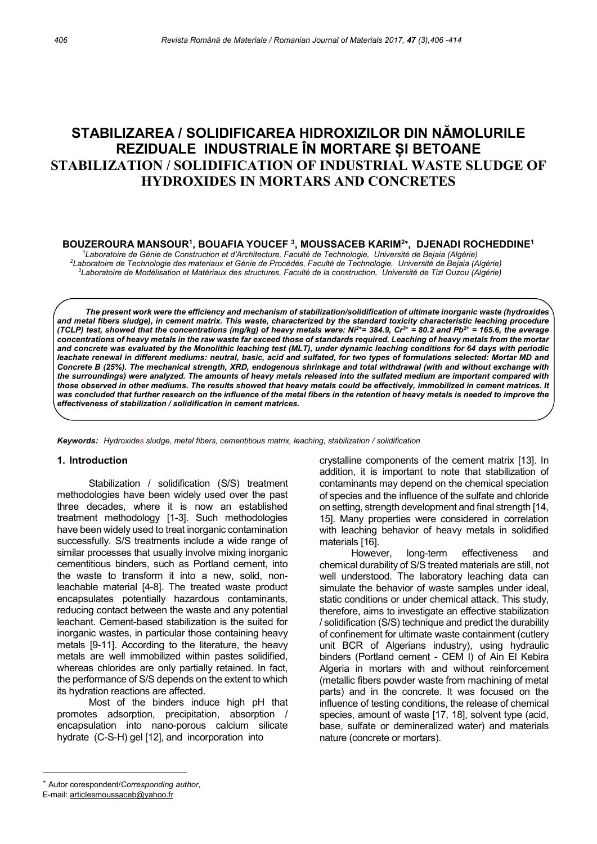# STABILIZAREA / SOLIDIFICAREA HIDROXIZILOR DIN NĂMOLURILE REZIDUALE INDUSTRIALE ÎN MORTARE ȘI BETOANE STABILIZATION / SOLIDIFICATION OF INDUSTRIAL WASTE SLUDGE OF HYDROXIDES IN MORTARS AND CONCRETES

BOUZEROURA MANSOUR<sup>1</sup>, BOUAFIA YOUCEF <sup>3</sup>, MOUSSACEB KARIM<sup>2</sup>\*, DJENADI ROCHEDDINE<sup>1</sup>

<sup>1</sup>Laboratoire de Génie de Construction et d'Architecture, Faculté de Technologie, Université de Bejaia (Algérie) <sup>2</sup>Laboratoire de Technologie des materiaux et Génie de Procédés, Faculté de Technologie, Université de Bejaia (Algérie) <sup>3</sup>Laboratoire de Modélisation et Matériaux des structures, Faculté de la construction, Université de Tizi Ouzou (Algérie)

The present work were the efficiency and mechanism of stabilization/solidification of ultimate inorganic waste (hydroxides and metal fibers sludge), in cement matrix. This waste, characterized by the standard toxicity characteristic leaching procedure (TCLP) test, showed that the concentrations (mg/kg) of heavy metals were: Ni<sup>2+</sup>= 384.9, Cr<sup>3+</sup> = 80.2 and Pb<sup>2+</sup> = 165.6, the average concentrations of heavy metals in the raw waste far exceed those of standards required. Leaching of heavy metals from the mortar and concrete was evaluated by the Monolithic leaching test (MLT), under dynamic leaching conditions for 64 days with periodic leachate renewal in different mediums: neutral, basic, acid and sulfated, for two types of formulations selected: Mortar MD and Concrete B (25%). The mechanical strength, XRD, endogenous shrinkage and total withdrawal (with and without exchange with the surroundings) were analyzed. The amounts of heavy metals released into the sulfated medium are important compared with those observed in other mediums. The results showed that heavy metals could be effectively, immobilized in cement matrices. It was concluded that further research on the influence of the metal fibers in the retention of heavy metals is needed to improve the effectiveness of stabilization / solidification in cement matrices.

Keywords: Hydroxides sludge, metal fibers, cementitious matrix, leaching, stabilization / solidification

#### 1. Introduction

Stabilization / solidification (S/S) treatment methodologies have been widely used over the past three decades, where it is now an established treatment methodology [1-3]. Such methodologies have been widely used to treat inorganic contamination successfully. S/S treatments include a wide range of similar processes that usually involve mixing inorganic cementitious binders, such as Portland cement, into the waste to transform it into a new, solid, nonleachable material [4-8]. The treated waste product encapsulates potentially hazardous contaminants, reducing contact between the waste and any potential leachant. Cement-based stabilization is the suited for inorganic wastes, in particular those containing heavy metals [9-11]. According to the literature, the heavy metals are well immobilized within pastes solidified, whereas chlorides are only partially retained. In fact, the performance of S/S depends on the extent to which its hydration reactions are affected.

Most of the binders induce high pH that promotes adsorption, precipitation, absorption / encapsulation into nano-porous calcium silicate hydrate (C-S-H) gel [12], and incorporation into

 crystalline components of the cement matrix [13]. In addition, it is important to note that stabilization of contaminants may depend on the chemical speciation of species and the influence of the sulfate and chloride on setting, strength development and final strength [14, 15]. Many properties were considered in correlation with leaching behavior of heavy metals in solidified materials [16].

However, long-term effectiveness and chemical durability of S/S treated materials are still, not well understood. The laboratory leaching data can simulate the behavior of waste samples under ideal, static conditions or under chemical attack. This study, therefore, aims to investigate an effective stabilization / solidification (S/S) technique and predict the durability of confinement for ultimate waste containment (cutlery unit BCR of Algerians industry), using hydraulic binders (Portland cement - CEM I) of Ain El Kebira Algeria in mortars with and without reinforcement (metallic fibers powder waste from machining of metal parts) and in the concrete. It was focused on the influence of testing conditions, the release of chemical species, amount of waste [17, 18], solvent type (acid, base, sulfate or demineralized water) and materials nature (concrete or mortars).

Autor corespondent/Corresponding author,

E-mail: articlesmoussaceb@yahoo.fr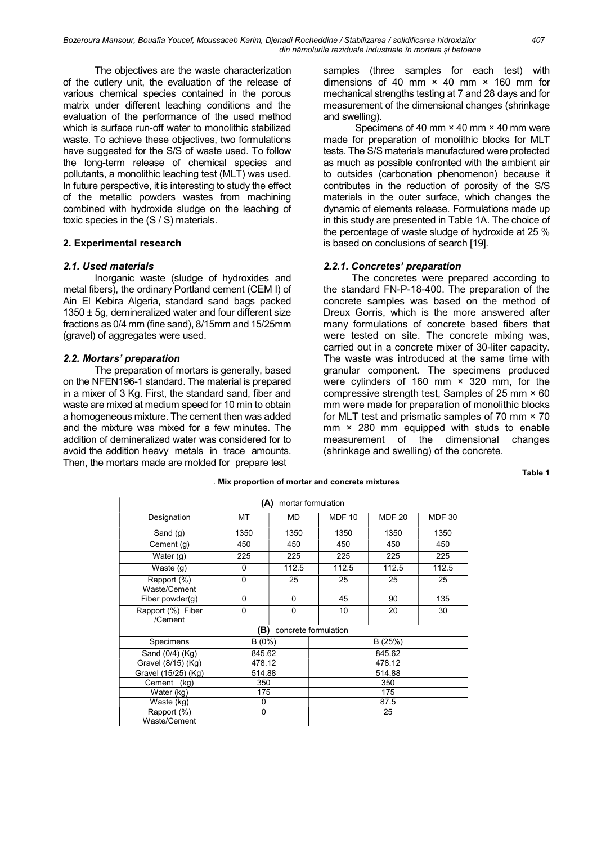Bozeroura Mansour, Bouafia Youcef, Moussaceb Karim, Djenadi Rocheddine / Stabilizarea / solidificarea hidroxizilor 407 din nămolurile reziduale industriale în mortare și betoane

The objectives are the waste characterization of the cutlery unit, the evaluation of the release of various chemical species contained in the porous matrix under different leaching conditions and the evaluation of the performance of the used method which is surface run-off water to monolithic stabilized waste. To achieve these objectives, two formulations have suggested for the S/S of waste used. To follow the long-term release of chemical species and pollutants, a monolithic leaching test (MLT) was used. In future perspective, it is interesting to study the effect of the metallic powders wastes from machining combined with hydroxide sludge on the leaching of toxic species in the (S / S) materials.

## 2. Experimental research

## 2.1. Used materials

Inorganic waste (sludge of hydroxides and metal fibers), the ordinary Portland cement (CEM I) of Ain El Kebira Algeria, standard sand bags packed  $1350 \pm 5g$ , demineralized water and four different size fractions as 0/4 mm (fine sand), 8/15mm and 15/25mm (gravel) of aggregates were used.

## 2.2. Mortars' preparation

The preparation of mortars is generally, based on the NFEN196-1 standard. The material is prepared in a mixer of 3 Kg. First, the standard sand, fiber and waste are mixed at medium speed for 10 min to obtain a homogeneous mixture. The cement then was added and the mixture was mixed for a few minutes. The addition of demineralized water was considered for to avoid the addition heavy metals in trace amounts. Then, the mortars made are molded for prepare test

 samples (three samples for each test) with dimensions of 40 mm  $\times$  40 mm  $\times$  160 mm for mechanical strengths testing at 7 and 28 days and for measurement of the dimensional changes (shrinkage and swelling).

Specimens of 40 mm × 40 mm × 40 mm were made for preparation of monolithic blocks for MLT tests. The S/S materials manufactured were protected as much as possible confronted with the ambient air to outsides (carbonation phenomenon) because it contributes in the reduction of porosity of the S/S materials in the outer surface, which changes the dynamic of elements release. Formulations made up in this study are presented in Table 1A. The choice of the percentage of waste sludge of hydroxide at 25 % is based on conclusions of search [19].

#### 2.2.1. Concretes' preparation

The concretes were prepared according to the standard FN-P-18-400. The preparation of the concrete samples was based on the method of Dreux Gorris, which is the more answered after many formulations of concrete based fibers that were tested on site. The concrete mixing was, carried out in a concrete mixer of 30-liter capacity. The waste was introduced at the same time with granular component. The specimens produced were cylinders of 160 mm × 320 mm, for the compressive strength test, Samples of 25 mm × 60 mm were made for preparation of monolithic blocks for MLT test and prismatic samples of 70 mm × 70 mm × 280 mm equipped with studs to enable measurement of the dimensional changes (shrinkage and swelling) of the concrete.

Table 1

| (A)<br>mortar formulation    |          |           |               |               |               |  |  |  |
|------------------------------|----------|-----------|---------------|---------------|---------------|--|--|--|
| Designation                  | МT       | <b>MD</b> | <b>MDF 10</b> | <b>MDF 20</b> | <b>MDF 30</b> |  |  |  |
| Sand (g)                     | 1350     | 1350      | 1350          | 1350          | 1350          |  |  |  |
| Cement (g)                   | 450      | 450       | 450           | 450           | 450           |  |  |  |
| Water $(q)$                  | 225      | 225       | 225           | 225           | 225           |  |  |  |
| Waste (g)                    | 0        | 112.5     | 112.5         | 112.5         | 112.5         |  |  |  |
| Rapport (%)<br>Waste/Cement  | $\Omega$ | 25        | 25            | 25            | 25            |  |  |  |
| Fiber powder $(q)$           | 0        | 0         | 45            | 90            | 135           |  |  |  |
| Rapport (%) Fiber<br>/Cement | $\Omega$ | 0         | 10            | 20            | 30            |  |  |  |
| (B)<br>concrete formulation  |          |           |               |               |               |  |  |  |
| Specimens                    | $B(0\%)$ |           | B(25%)        |               |               |  |  |  |
| Sand (0/4) (Kg)              | 845.62   |           | 845.62        |               |               |  |  |  |
| Gravel (8/15) (Kg)           | 478.12   |           | 478.12        |               |               |  |  |  |
| Gravel (15/25) (Kg)          | 514.88   |           | 514.88        |               |               |  |  |  |
| Cement<br>(kg)               | 350      |           | 350           |               |               |  |  |  |
| Water (kg)                   | 175      |           | 175           |               |               |  |  |  |
| Waste (kg)                   | 0        |           | 87.5          |               |               |  |  |  |
| Rapport (%)<br>Waste/Cement  | 0        |           | 25            |               |               |  |  |  |

#### . Mix proportion of mortar and concrete mixtures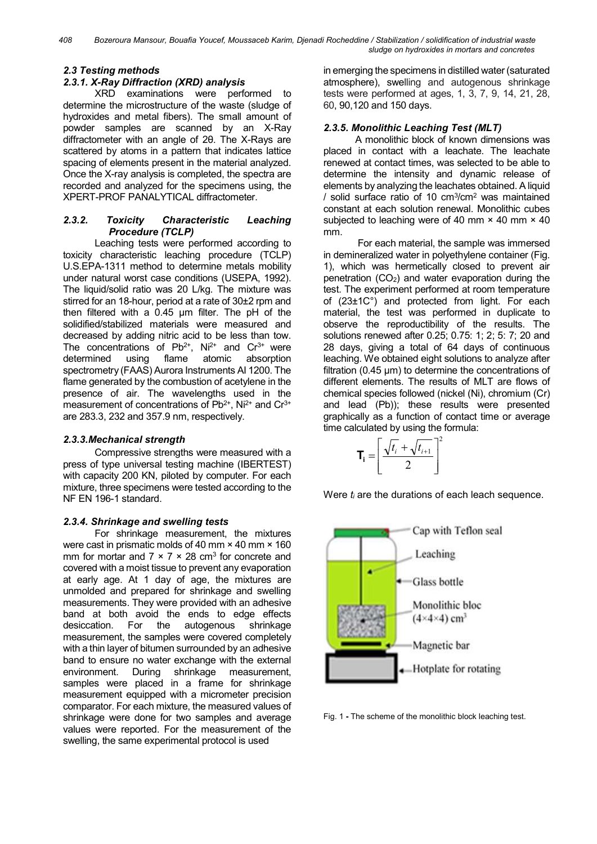# 2.3 Testing methods

# 2.3.1. X-Ray Diffraction (XRD) analysis

XRD examinations were performed to determine the microstructure of the waste (sludge of hydroxides and metal fibers). The small amount of powder samples are scanned by an X-Ray diffractometer with an angle of 2θ. The X-Rays are scattered by atoms in a pattern that indicates lattice spacing of elements present in the material analyzed. Once the X-ray analysis is completed, the spectra are recorded and analyzed for the specimens using, the XPERT-PROF PANALYTICAL diffractometer.

## 2.3.2. Toxicity Characteristic Leaching Procedure (TCLP)

Leaching tests were performed according to toxicity characteristic leaching procedure (TCLP) U.S.EPA-1311 method to determine metals mobility under natural worst case conditions (USEPA, 1992). The liquid/solid ratio was 20 L/kg. The mixture was stirred for an 18-hour, period at a rate of 30±2 rpm and then filtered with a 0.45 µm filter. The pH of the solidified/stabilized materials were measured and decreased by adding nitric acid to be less than tow. The concentrations of  $Pb^{2+}$ , Ni<sup>2+</sup> and Cr<sup>3+</sup> were determined using flame atomic absorption spectrometry (FAAS) Aurora Instruments AI 1200. The flame generated by the combustion of acetylene in the presence of air. The wavelengths used in the measurement of concentrations of  $Pb^{2+}$ , Ni<sup>2+</sup> and  $Cr^{3+}$ are 283.3, 232 and 357.9 nm, respectively.

## 2.3.3.Mechanical strength

Compressive strengths were measured with a press of type universal testing machine (IBERTEST) with capacity 200 KN, piloted by computer. For each mixture, three specimens were tested according to the NF EN 196-1 standard.

# 2.3.4. Shrinkage and swelling tests

For shrinkage measurement, the mixtures were cast in prismatic molds of 40 mm × 40 mm × 160 mm for mortar and  $7 \times 7 \times 28$  cm<sup>3</sup> for concrete and covered with a moist tissue to prevent any evaporation at early age. At 1 day of age, the mixtures are unmolded and prepared for shrinkage and swelling measurements. They were provided with an adhesive band at both avoid the ends to edge effects desiccation. For the autogenous shrinkage measurement, the samples were covered completely with a thin layer of bitumen surrounded by an adhesive band to ensure no water exchange with the external environment. During shrinkage measurement, samples were placed in a frame for shrinkage measurement equipped with a micrometer precision comparator. For each mixture, the measured values of shrinkage were done for two samples and average values were reported. For the measurement of the swelling, the same experimental protocol is used

in emerging the specimens in distilled water (saturated atmosphere), swelling and autogenous shrinkage tests were performed at ages, 1, 3, 7, 9, 14, 21, 28, 60, 90,120 and 150 days.

# 2.3.5. Monolithic Leaching Test (MLT)

A monolithic block of known dimensions was placed in contact with a leachate. The leachate renewed at contact times, was selected to be able to determine the intensity and dynamic release of elements by analyzing the leachates obtained. A liquid / solid surface ratio of 10 cm<sup>3</sup> /cm<sup>2</sup> was maintained constant at each solution renewal. Monolithic cubes subjected to leaching were of 40 mm  $\times$  40 mm  $\times$  40 mm.

 For each material, the sample was immersed in demineralized water in polyethylene container (Fig. 1), which was hermetically closed to prevent air penetration  $(CO<sub>2</sub>)$  and water evaporation during the test. The experiment performed at room temperature of (23±1C°) and protected from light. For each material, the test was performed in duplicate to observe the reproductibility of the results. The solutions renewed after 0.25; 0.75: 1; 2; 5: 7; 20 and 28 days, giving a total of 64 days of continuous leaching. We obtained eight solutions to analyze after filtration (0.45  $\mu$ m) to determine the concentrations of different elements. The results of MLT are flows of chemical species followed (nickel (Ni), chromium (Cr) and lead (Pb)); these results were presented graphically as a function of contact time or average time calculated by using the formula:

$$
\mathbf{T_i} = \left[ \frac{\sqrt{t_i} + \sqrt{t_{i+1}}}{2} \right]^2
$$

Were  $t_i$  are the durations of each leach sequence.



Fig. 1 - The scheme of the monolithic block leaching test.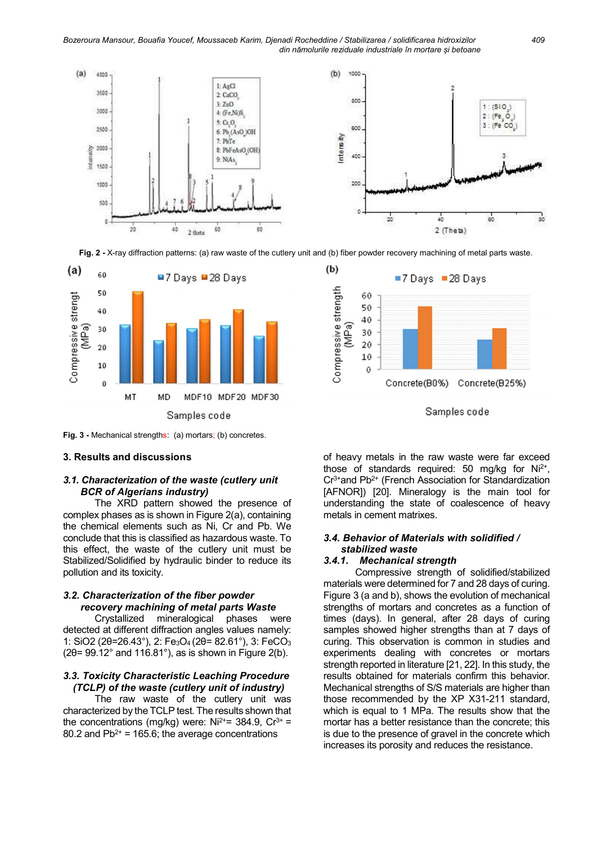Bozeroura Mansour, Bouafia Youcef, Moussaceb Karim, Djenadi Rocheddine / Stabilizarea / solidificarea hidroxizilor 409 din nămolurile reziduale industriale în mortare și betoane



Fig. 2 - X-ray diffraction patterns: (a) raw waste of the cutlery unit and (b) fiber powder recovery machining of metal parts waste.



Fig. 3 - Mechanical strengths: (a) mortars; (b) concretes.

#### 3. Results and discussions

## 3.1. Characterization of the waste (cutlery unit BCR of Algerians industry)

The XRD pattern showed the presence of complex phases as is shown in Figure 2(a), containing the chemical elements such as Ni, Cr and Pb. We conclude that this is classified as hazardous waste. To this effect, the waste of the cutlery unit must be Stabilized/Solidified by hydraulic binder to reduce its pollution and its toxicity.

## 3.2. Characterization of the fiber powder recovery machining of metal parts Waste

Crystallized mineralogical phases were detected at different diffraction angles values namely: 1: SiO2 (2θ=26.43°), 2: Fe3O4 (2θ= 82.61°), 3: FeCO<sup>3</sup>  $(2\theta=99.12^{\circ}$  and 116.81°), as is shown in Figure 2(b).

#### 3.3. Toxicity Characteristic Leaching Procedure (TCLP) of the waste (cutlery unit of industry)

The raw waste of the cutlery unit was characterized by the TCLP test. The results shown that the concentrations (mg/kg) were:  $Ni^{2+}$  = 384.9,  $Cr^{3+}$  = 80.2 and  $Pb^{2+}$  = 165.6; the average concentrations





of heavy metals in the raw waste were far exceed those of standards required: 50 mg/kg for  $Ni<sup>2+</sup>$ ,  $Cr<sup>3+</sup>$  and Pb<sup>2+</sup> (French Association for Standardization [AFNOR]) [20]. Mineralogy is the main tool for understanding the state of coalescence of heavy metals in cement matrixes.

## 3.4. Behavior of Materials with solidified / stabilized waste

#### 3.4.1. Mechanical strength

Compressive strength of solidified/stabilized materials were determined for 7 and 28 days of curing. Figure 3 (a and b), shows the evolution of mechanical strengths of mortars and concretes as a function of times (days). In general, after 28 days of curing samples showed higher strengths than at 7 days of curing. This observation is common in studies and experiments dealing with concretes or mortars strength reported in literature [21, 22]. In this study, the results obtained for materials confirm this behavior. Mechanical strengths of S/S materials are higher than those recommended by the XP X31-211 standard, which is equal to 1 MPa. The results show that the mortar has a better resistance than the concrete; this is due to the presence of gravel in the concrete which increases its porosity and reduces the resistance.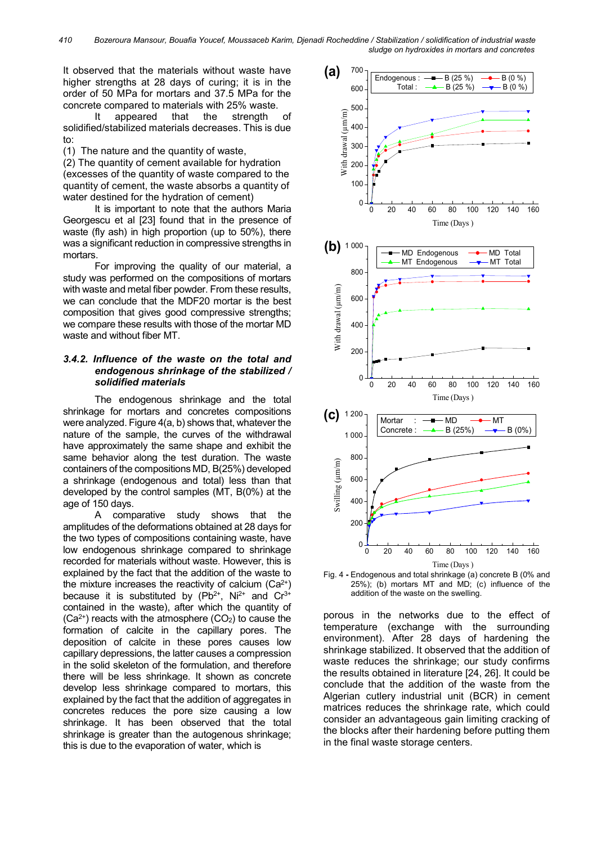410 Bozeroura Mansour, Bouafia Youcef, Moussaceb Karim, Djenadi Rocheddine / Stabilization / solidification of industrial waste sludge on hydroxides in mortars and concretes

It observed that the materials without waste have higher strengths at 28 days of curing; it is in the order of 50 MPa for mortars and 37.5 MPa for the concrete compared to materials with 25% waste.

It appeared that the strength of solidified/stabilized materials decreases. This is due  $t_0$ :

(1) The nature and the quantity of waste,

(2) The quantity of cement available for hydration (excesses of the quantity of waste compared to the quantity of cement, the waste absorbs a quantity of water destined for the hydration of cement)

It is important to note that the authors Maria Georgescu et al [23] found that in the presence of waste (fly ash) in high proportion (up to 50%), there was a significant reduction in compressive strengths in mortars.

For improving the quality of our material, a study was performed on the compositions of mortars with waste and metal fiber powder. From these results, we can conclude that the MDF20 mortar is the best composition that gives good compressive strengths; we compare these results with those of the mortar MD waste and without fiber MT.

## 3.4.2. Influence of the waste on the total and endogenous shrinkage of the stabilized / solidified materials

The endogenous shrinkage and the total shrinkage for mortars and concretes compositions were analyzed. Figure 4(a, b) shows that, whatever the nature of the sample, the curves of the withdrawal have approximately the same shape and exhibit the same behavior along the test duration. The waste containers of the compositions MD, B(25%) developed a shrinkage (endogenous and total) less than that developed by the control samples (MT, B(0%) at the age of 150 days.

A comparative study shows that the amplitudes of the deformations obtained at 28 days for the two types of compositions containing waste, have low endogenous shrinkage compared to shrinkage recorded for materials without waste. However, this is explained by the fact that the addition of the waste to the mixture increases the reactivity of calcium  $(Ca^{2+})$ because it is substituted by  $(Pb^{2+}, Ni^{2+})$  and  $Cr^{3+}$ contained in the waste), after which the quantity of  $(Ca<sup>2+</sup>)$  reacts with the atmosphere  $(CO<sub>2</sub>)$  to cause the formation of calcite in the capillary pores. The deposition of calcite in these pores causes low capillary depressions, the latter causes a compression in the solid skeleton of the formulation, and therefore there will be less shrinkage. It shown as concrete develop less shrinkage compared to mortars, this explained by the fact that the addition of aggregates in concretes reduces the pore size causing a low shrinkage. It has been observed that the total shrinkage is greater than the autogenous shrinkage; this is due to the evaporation of water, which is



Fig. 4 - Endogenous and total shrinkage (a) concrete B (0% and 25%); (b) mortars MT and MD; (c) influence of the addition of the waste on the swelling.

porous in the networks due to the effect of temperature (exchange with the surrounding environment). After 28 days of hardening the shrinkage stabilized. It observed that the addition of waste reduces the shrinkage; our study confirms the results obtained in literature [24, 26]. It could be conclude that the addition of the waste from the Algerian cutlery industrial unit (BCR) in cement matrices reduces the shrinkage rate, which could consider an advantageous gain limiting cracking of the blocks after their hardening before putting them in the final waste storage centers.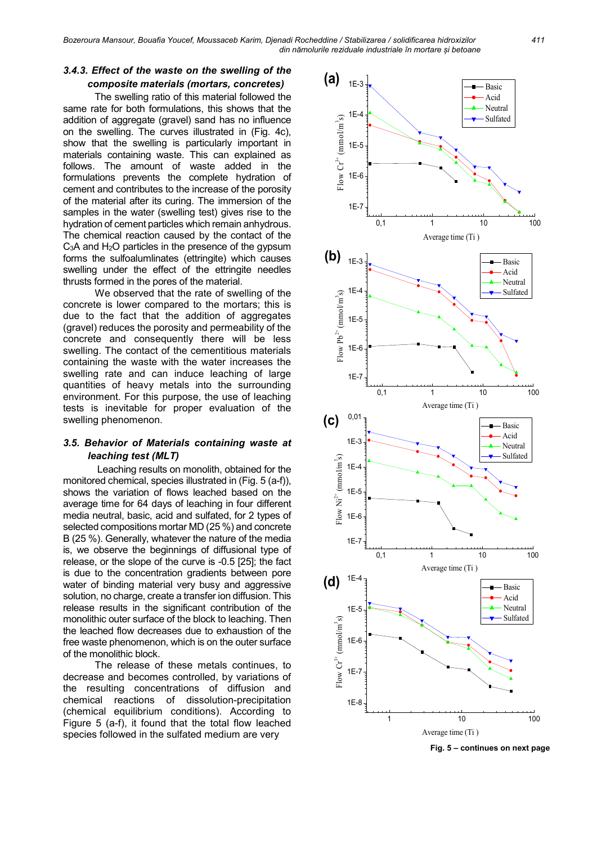Bozeroura Mansour, Bouafia Youcef, Moussaceb Karim, Djenadi Rocheddine / Stabilizarea / solidificarea hidroxizilor 411 din nămolurile reziduale industriale în mortare și betoane

## 3.4.3. Effect of the waste on the swelling of the composite materials (mortars, concretes)

The swelling ratio of this material followed the same rate for both formulations, this shows that the addition of aggregate (gravel) sand has no influence on the swelling. The curves illustrated in (Fig. 4c), show that the swelling is particularly important in materials containing waste. This can explained as follows. The amount of waste added in the formulations prevents the complete hydration of cement and contributes to the increase of the porosity of the material after its curing. The immersion of the samples in the water (swelling test) gives rise to the hydration of cement particles which remain anhydrous. The chemical reaction caused by the contact of the C<sub>3</sub>A and H<sub>2</sub>O particles in the presence of the gypsum forms the sulfoalumlinates (ettringite) which causes swelling under the effect of the ettringite needles thrusts formed in the pores of the material.

We observed that the rate of swelling of the concrete is lower compared to the mortars; this is due to the fact that the addition of aggregates (gravel) reduces the porosity and permeability of the concrete and consequently there will be less swelling. The contact of the cementitious materials containing the waste with the water increases the swelling rate and can induce leaching of large quantities of heavy metals into the surrounding environment. For this purpose, the use of leaching tests is inevitable for proper evaluation of the swelling phenomenon.

# 3.5. Behavior of Materials containing waste at leaching test (MLT)

 Leaching results on monolith, obtained for the monitored chemical, species illustrated in (Fig. 5 (a-f)), shows the variation of flows leached based on the average time for 64 days of leaching in four different media neutral, basic, acid and sulfated, for 2 types of selected compositions mortar MD (25 %) and concrete B (25 %). Generally, whatever the nature of the media is, we observe the beginnings of diffusional type of release, or the slope of the curve is -0.5 [25]; the fact is due to the concentration gradients between pore water of binding material very busy and aggressive solution, no charge, create a transfer ion diffusion. This release results in the significant contribution of the monolithic outer surface of the block to leaching. Then the leached flow decreases due to exhaustion of the free waste phenomenon, which is on the outer surface of the monolithic block.

The release of these metals continues, to decrease and becomes controlled, by variations of the resulting concentrations of diffusion and chemical reactions of dissolution-precipitation (chemical equilibrium conditions). According to Figure 5 (a-f), it found that the total flow leached species followed in the sulfated medium are very



Fig. 5 – continues on next page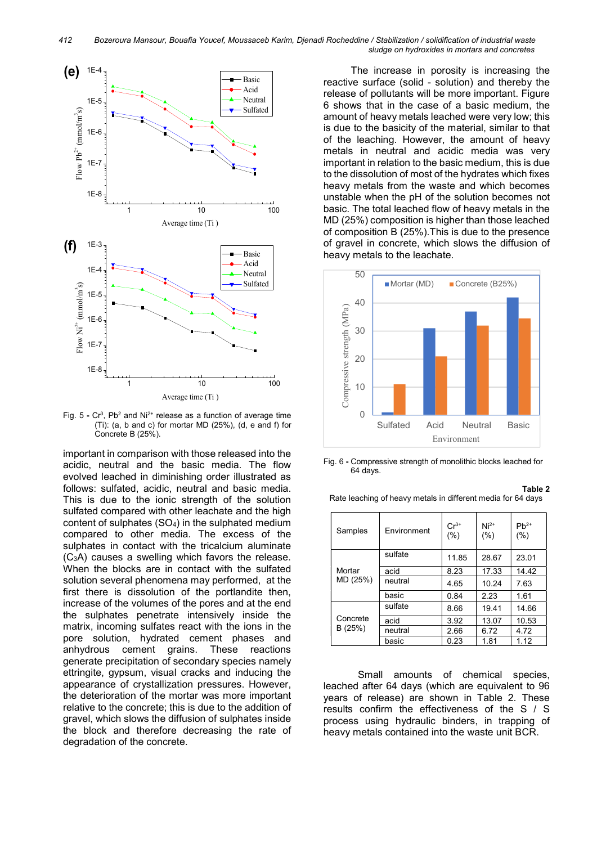

Fig.  $5$  -  $Cr^3$ , Pb<sup>2</sup> and Ni<sup>2+</sup> release as a function of average time (Ti): (a, b and c) for mortar MD (25%), (d, e and f) for Concrete B (25%).

important in comparison with those released into the acidic, neutral and the basic media. The flow evolved leached in diminishing order illustrated as follows: sulfated, acidic, neutral and basic media. This is due to the ionic strength of the solution sulfated compared with other leachate and the high content of sulphates (SO4) in the sulphated medium compared to other media. The excess of the sulphates in contact with the tricalcium aluminate (C3A) causes a swelling which favors the release. When the blocks are in contact with the sulfated solution several phenomena may performed, at the first there is dissolution of the portlandite then, increase of the volumes of the pores and at the end the sulphates penetrate intensively inside the matrix, incoming sulfates react with the ions in the pore solution, hydrated cement phases and anhydrous cement grains. These reactions generate precipitation of secondary species namely ettringite, gypsum, visual cracks and inducing the appearance of crystallization pressures. However, the deterioration of the mortar was more important relative to the concrete; this is due to the addition of gravel, which slows the diffusion of sulphates inside the block and therefore decreasing the rate of degradation of the concrete.

The increase in porosity is increasing the Basic | reactive surface (solid - solution) and thereby the Acid **Relakt Acid** release of pollutants will be more important. Figure Neutral 6 shows that in the case of a basic medium, the amount of heavy metals leached were very low; this is due to the basicity of the material, similar to that of the leaching. However, the amount of heavy metals in neutral and acidic media was very important in relation to the basic medium, this is due to the dissolution of most of the hydrates which fixes heavy metals from the waste and which becomes unstable when the pH of the solution becomes not basic. The total leached flow of heavy metals in the MD (25%) composition is higher than those leached of composition B (25%).This is due to the presence of gravel in concrete, which slows the diffusion of Basic | heavy metals to the leachate. 1 10 100 Sulfated



Fig. 6 - Compressive strength of monolithic blocks leached for 64 days.

| Table 2                                                      |  |
|--------------------------------------------------------------|--|
| Rate leaching of heavy metals in different media for 64 days |  |

| Samples            | <b>Fnvironment</b> | $Cr^{3+}$<br>(% ) | $Ni2+$<br>(% ) | $Pb^{2+}$<br>(%) |
|--------------------|--------------------|-------------------|----------------|------------------|
| Mortar<br>MD (25%) | sulfate            | 11.85             | 28.67          | 23.01            |
|                    | acid               | 8.23              | 17.33          | 14.42            |
|                    | neutral            | 4.65              | 10.24          | 7.63             |
|                    | basic              | 0.84              | 2.23           | 1.61             |
| Concrete<br>B(25%) | sulfate            | 8.66              | 19.41          | 14.66            |
|                    | acid               | 3.92              | 13.07          | 10.53            |
|                    | neutral            | 2.66              | 6.72           | 4.72             |
|                    | basic              | 0.23              | 1.81           | 1.12             |

Small amounts of chemical species, leached after 64 days (which are equivalent to 96 years of release) are shown in Table 2. These results confirm the effectiveness of the S / S process using hydraulic binders, in trapping of heavy metals contained into the waste unit BCR.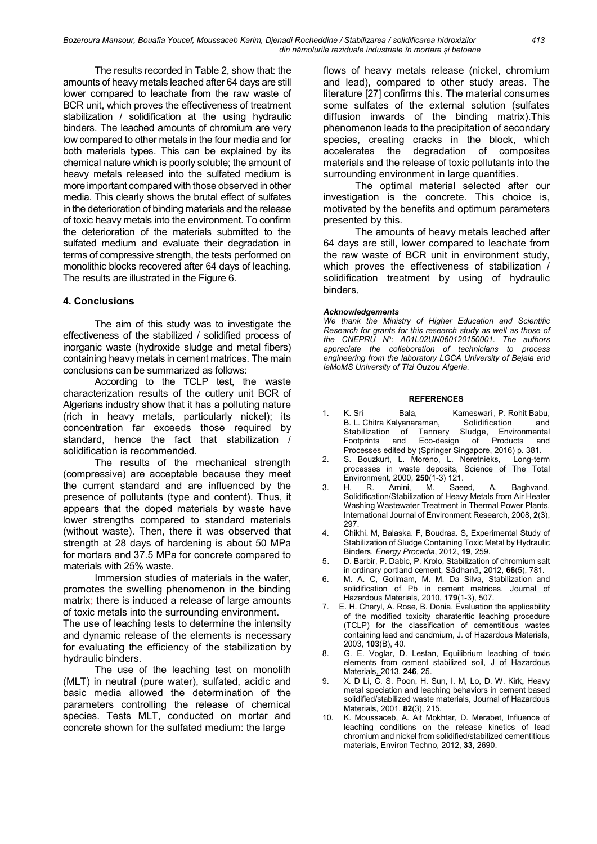The results recorded in Table 2, show that: the amounts of heavy metals leached after 64 days are still lower compared to leachate from the raw waste of BCR unit, which proves the effectiveness of treatment stabilization / solidification at the using hydraulic binders. The leached amounts of chromium are very low compared to other metals in the four media and for both materials types. This can be explained by its chemical nature which is poorly soluble; the amount of heavy metals released into the sulfated medium is more important compared with those observed in other media. This clearly shows the brutal effect of sulfates in the deterioration of binding materials and the release of toxic heavy metals into the environment. To confirm the deterioration of the materials submitted to the sulfated medium and evaluate their degradation in terms of compressive strength, the tests performed on monolithic blocks recovered after 64 days of leaching. The results are illustrated in the Figure 6.

## 4. Conclusions

The aim of this study was to investigate the effectiveness of the stabilized / solidified process of inorganic waste (hydroxide sludge and metal fibers) containing heavy metals in cement matrices. The main conclusions can be summarized as follows:

According to the TCLP test, the waste characterization results of the cutlery unit BCR of Algerians industry show that it has a polluting nature (rich in heavy metals, particularly nickel); its concentration far exceeds those required by standard, hence the fact that stabilization / solidification is recommended.

The results of the mechanical strength (compressive) are acceptable because they meet the current standard and are influenced by the presence of pollutants (type and content). Thus, it appears that the doped materials by waste have lower strengths compared to standard materials (without waste). Then, there it was observed that strength at 28 days of hardening is about 50 MPa for mortars and 37.5 MPa for concrete compared to materials with 25% waste.

Immersion studies of materials in the water, promotes the swelling phenomenon in the binding matrix; there is induced a release of large amounts of toxic metals into the surrounding environment.

The use of leaching tests to determine the intensity and dynamic release of the elements is necessary for evaluating the efficiency of the stabilization by hydraulic binders.

The use of the leaching test on monolith (MLT) in neutral (pure water), sulfated, acidic and basic media allowed the determination of the parameters controlling the release of chemical species. Tests MLT, conducted on mortar and concrete shown for the sulfated medium: the large

flows of heavy metals release (nickel, chromium and lead), compared to other study areas. The literature [27] confirms this. The material consumes some sulfates of the external solution (sulfates diffusion inwards of the binding matrix).This phenomenon leads to the precipitation of secondary species, creating cracks in the block, which accelerates the degradation of composites materials and the release of toxic pollutants into the surrounding environment in large quantities.

The optimal material selected after our investigation is the concrete. This choice is, motivated by the benefits and optimum parameters presented by this.

The amounts of heavy metals leached after 64 days are still, lower compared to leachate from the raw waste of BCR unit in environment study, which proves the effectiveness of stabilization / solidification treatment by using of hydraulic binders.

#### Acknowledgements

We thank the Ministry of Higher Education and Scientific Research for grants for this research study as well as those of the CNEPRU  $N^{\circ}$ : A01L02UN060120150001. The authors appreciate the collaboration of technicians to process engineering from the laboratory LGCA University of Bejaia and laMoMS University of Tizi Ouzou Algeria.

#### REFERENCES

- 1. K. Sri Bala, Kameswari , P. Rohit Babu,<br>B. L. Chitra Kalyanaraman, Solidification and B. L. Chitra Kalyanaraman, Solidification and<br>Stabilization of Tannery Sludge, Environmental Stabilization of Tannery Footprints and Eco-design of Products and Processes edited by (Springer Singapore, 2016) p. 381.
- 2. S. Bouzkurt, L. Moreno, L. Neretnieks, Long-term processes in waste deposits, Science of The Total Environment, 2000, **250**(1-3) 121.<br>H. R. Amini, M. Saeed,
- 3. H. R. Amini, M. Saeed, A. Baghvand, Solidification/Stabilization of Heavy Metals from Air Heater Washing Wastewater Treatment in Thermal Power Plants, International Journal of Environment Research, 2008, 2(3), 297.
- 4. Chikhi. M, Balaska. F, Boudraa. S, Experimental Study of Stabilization of Sludge Containing Toxic Metal by Hydraulic Binders, Energy Procedia, 2012, 19, 259.
- 5. D. Barbir, P. Dabic, P. Krolo, Stabilization of chromium salt in ordinary portland cement, Sādhanā, 2012, 66(5), 781.
- 6. M. A. C, Gollmam, M. M. Da Silva, Stabilization and solidification of Pb in cement matrices, Journal of Hazardous Materials, 2010, 179(1-3), 507.
- 7. E. H. Cheryl, A. Rose, B. Donia, Evaluation the applicability of the modified toxicity charateritic leaching procedure (TCLP) for the classification of cementitious wastes containing lead and candmium, J. of Hazardous Materials, 2003, 103(B), 40.
- 8. G. E. Voglar, D. Lestan, Equilibrium leaching of toxic elements from cement stabilized soil, J of Hazardous Materials, 2013, 246, 25.
- 9. X. D Li, C. S. Poon, H. Sun, I. M, Lo, D. W. Kirk, Heavy metal speciation and leaching behaviors in cement based solidified/stabilized waste materials, Journal of Hazardous Materials, 2001, 82(3), 215.
- 10. K. Moussaceb, A. Ait Mokhtar, D. Merabet, Influence of leaching conditions on the release kinetics of lead chromium and nickel from solidified/stabilized cementitious materials, Environ Techno, 2012, 33, 2690.